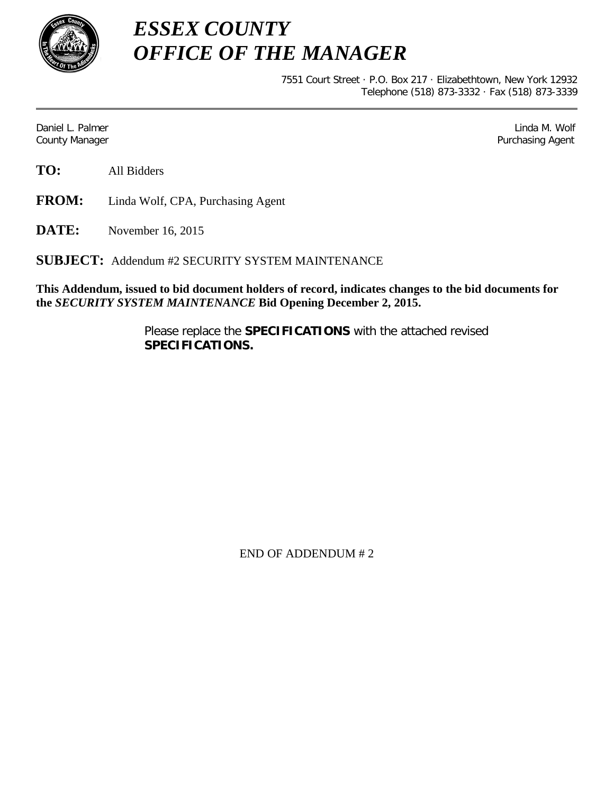

*ESSEX COUNTY OFFICE OF THE MANAGER*

> 7551 Court Street · P.O. Box 217 · Elizabethtown, New York 12932 Telephone (518) 873-3332 · Fax (518) 873-3339

Daniel L. Palmer Later and the control of the control of the control of the control of the control of the control of the control of the control of the control of the control of the control of the control of the control of County Manager **Purchasing Agent** County Manager **Purchasing Agent** County Manager

**TO:** All Bidders

**FROM:** Linda Wolf, CPA, Purchasing Agent

**DATE:** November 16, 2015

**SUBJECT:** Addendum #2 SECURITY SYSTEM MAINTENANCE

**This Addendum, issued to bid document holders of record, indicates changes to the bid documents for the** *SECURITY SYSTEM MAINTENANCE* **Bid Opening December 2, 2015.**

> Please replace the **SPECIFICATIONS** with the attached revised **SPECIFICATIONS.**

> > END OF ADDENDUM # 2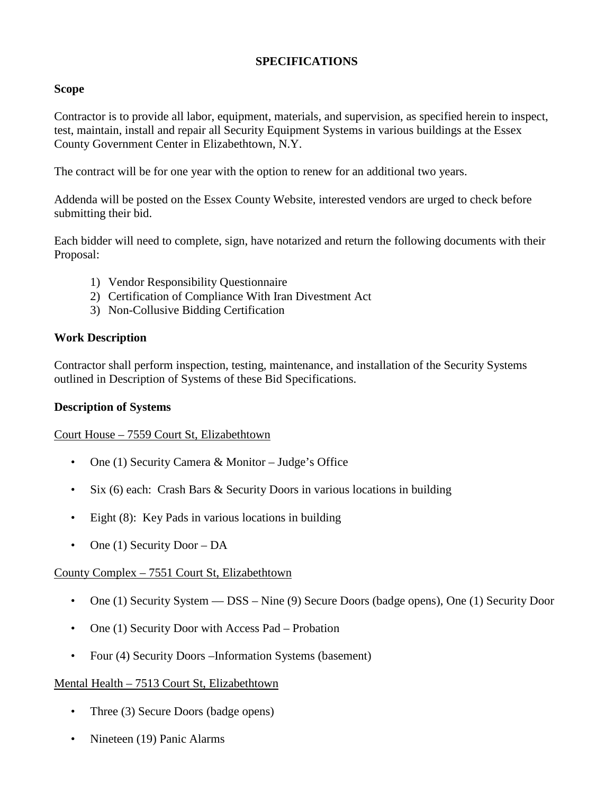## **SPECIFICATIONS**

## **Scope**

Contractor is to provide all labor, equipment, materials, and supervision, as specified herein to inspect, test, maintain, install and repair all Security Equipment Systems in various buildings at the Essex County Government Center in Elizabethtown, N.Y.

The contract will be for one year with the option to renew for an additional two years.

Addenda will be posted on the Essex County Website, interested vendors are urged to check before submitting their bid.

Each bidder will need to complete, sign, have notarized and return the following documents with their Proposal:

- 1) Vendor Responsibility Questionnaire
- 2) Certification of Compliance With Iran Divestment Act
- 3) Non-Collusive Bidding Certification

## **Work Description**

Contractor shall perform inspection, testing, maintenance, and installation of the Security Systems outlined in Description of Systems of these Bid Specifications.

### **Description of Systems**

### Court House – 7559 Court St, Elizabethtown

- One (1) Security Camera & Monitor Judge's Office
- Six (6) each: Crash Bars & Security Doors in various locations in building
- Eight (8): Key Pads in various locations in building
- One (1) Security Door DA

### County Complex – 7551 Court St, Elizabethtown

- One (1) Security System DSS Nine (9) Secure Doors (badge opens), One (1) Security Door
- One (1) Security Door with Access Pad Probation
- Four (4) Security Doors –Information Systems (basement)

### Mental Health – 7513 Court St, Elizabethtown

- Three (3) Secure Doors (badge opens)
- Nineteen (19) Panic Alarms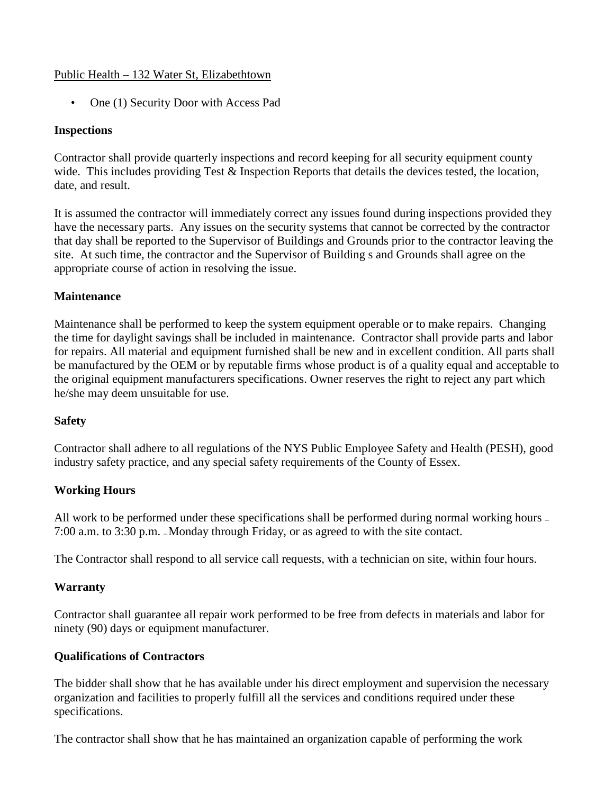## Public Health – 132 Water St, Elizabethtown

• One (1) Security Door with Access Pad

## **Inspections**

Contractor shall provide quarterly inspections and record keeping for all security equipment county wide. This includes providing Test & Inspection Reports that details the devices tested, the location, date, and result.

It is assumed the contractor will immediately correct any issues found during inspections provided they have the necessary parts. Any issues on the security systems that cannot be corrected by the contractor that day shall be reported to the Supervisor of Buildings and Grounds prior to the contractor leaving the site. At such time, the contractor and the Supervisor of Building s and Grounds shall agree on the appropriate course of action in resolving the issue.

# **Maintenance**

Maintenance shall be performed to keep the system equipment operable or to make repairs. Changing the time for daylight savings shall be included in maintenance. Contractor shall provide parts and labor for repairs. All material and equipment furnished shall be new and in excellent condition. All parts shall be manufactured by the OEM or by reputable firms whose product is of a quality equal and acceptable to the original equipment manufacturers specifications. Owner reserves the right to reject any part which he/she may deem unsuitable for use.

# **Safety**

Contractor shall adhere to all regulations of the NYS Public Employee Safety and Health (PESH), good industry safety practice, and any special safety requirements of the County of Essex.

# **Working Hours**

All work to be performed under these specifications shall be performed during normal working hours – 7:00 a.m. to 3:30 p.m. — Monday through Friday, or as agreed to with the site contact.

The Contractor shall respond to all service call requests, with a technician on site, within four hours.

### **Warranty**

Contractor shall guarantee all repair work performed to be free from defects in materials and labor for ninety (90) days or equipment manufacturer.

# **Qualifications of Contractors**

The bidder shall show that he has available under his direct employment and supervision the necessary organization and facilities to properly fulfill all the services and conditions required under these specifications.

The contractor shall show that he has maintained an organization capable of performing the work